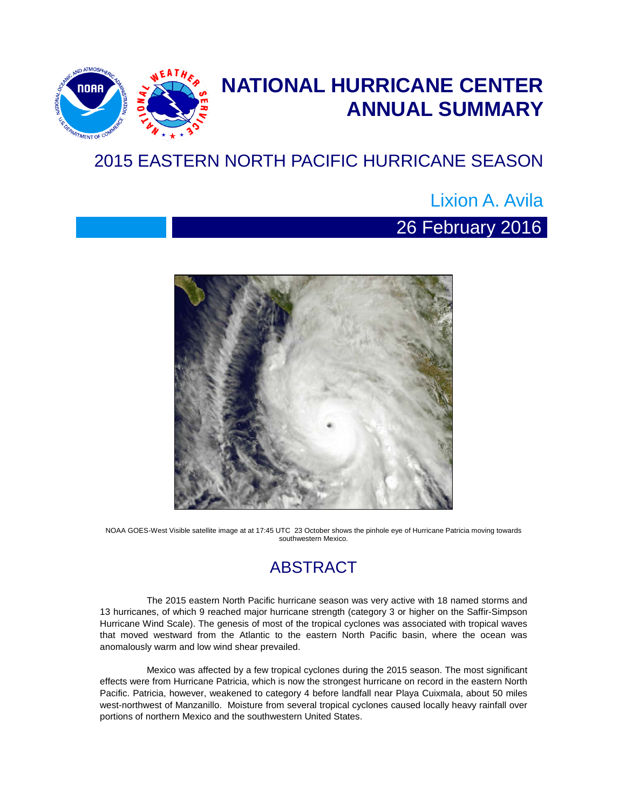

# **NATIONAL HURRICANE CENTER ANNUAL SUMMARY**

## 2015 EASTERN NORTH PACIFIC HURRICANE SEASON

## Lixion A. Avila

## 26 February 2016



NOAA GOES-West Visible satellite image at at 17:45 UTC 23 October shows the pinhole eye of Hurricane Patricia moving towards southwestern Mexico.

### ABSTRACT

The 2015 eastern North Pacific hurricane season was very active with 18 named storms and 13 hurricanes, of which 9 reached major hurricane strength (category 3 or higher on the Saffir-Simpson Hurricane Wind Scale). The genesis of most of the tropical cyclones was associated with tropical waves that moved westward from the Atlantic to the eastern North Pacific basin, where the ocean was anomalously warm and low wind shear prevailed.

Mexico was affected by a few tropical cyclones during the 2015 season. The most significant effects were from Hurricane Patricia, which is now the strongest hurricane on record in the eastern North Pacific. Patricia, however, weakened to category 4 before landfall near Playa Cuixmala, about 50 miles west-northwest of Manzanillo. Moisture from several tropical cyclones caused locally heavy rainfall over portions of northern Mexico and the southwestern United States.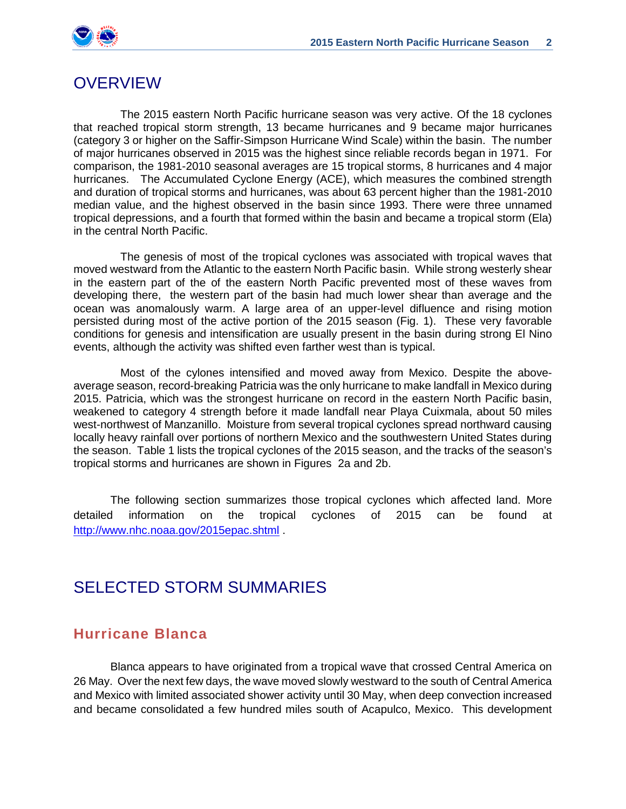

#### OVERVIEW

The 2015 eastern North Pacific hurricane season was very active. Of the 18 cyclones that reached tropical storm strength, 13 became hurricanes and 9 became major hurricanes (category 3 or higher on the Saffir-Simpson Hurricane Wind Scale) within the basin. The number of major hurricanes observed in 2015 was the highest since reliable records began in 1971. For comparison, the 1981-2010 seasonal averages are 15 tropical storms, 8 hurricanes and 4 major hurricanes. The Accumulated Cyclone Energy (ACE), which measures the combined strength and duration of tropical storms and hurricanes, was about 63 percent higher than the 1981-2010 median value, and the highest observed in the basin since 1993. There were three unnamed tropical depressions, and a fourth that formed within the basin and became a tropical storm (Ela) in the central North Pacific.

The genesis of most of the tropical cyclones was associated with tropical waves that moved westward from the Atlantic to the eastern North Pacific basin. While strong westerly shear in the eastern part of the of the eastern North Pacific prevented most of these waves from developing there, the western part of the basin had much lower shear than average and the ocean was anomalously warm. A large area of an upper-level difluence and rising motion persisted during most of the active portion of the 2015 season (Fig. 1). These very favorable conditions for genesis and intensification are usually present in the basin during strong El Nino events, although the activity was shifted even farther west than is typical.

Most of the cylones intensified and moved away from Mexico. Despite the aboveaverage season, record-breaking Patricia was the only hurricane to make landfall in Mexico during 2015. Patricia, which was the strongest hurricane on record in the eastern North Pacific basin, weakened to category 4 strength before it made landfall near Playa Cuixmala, about 50 miles west-northwest of Manzanillo. Moisture from several tropical cyclones spread northward causing locally heavy rainfall over portions of northern Mexico and the southwestern United States during the season. Table 1 lists the tropical cyclones of the 2015 season, and the tracks of the season's tropical storms and hurricanes are shown in Figures 2a and 2b.

The following section summarizes those tropical cyclones which affected land. More detailed information on the tropical cyclones of 2015 can be found at <http://www.nhc.noaa.gov/2015epac.shtml>.

### SELECTED STORM SUMMARIES

#### **Hurricane Blanca**

 Blanca appears to have originated from a tropical wave that crossed Central America on 26 May. Over the next few days, the wave moved slowly westward to the south of Central America and Mexico with limited associated shower activity until 30 May, when deep convection increased and became consolidated a few hundred miles south of Acapulco, Mexico. This development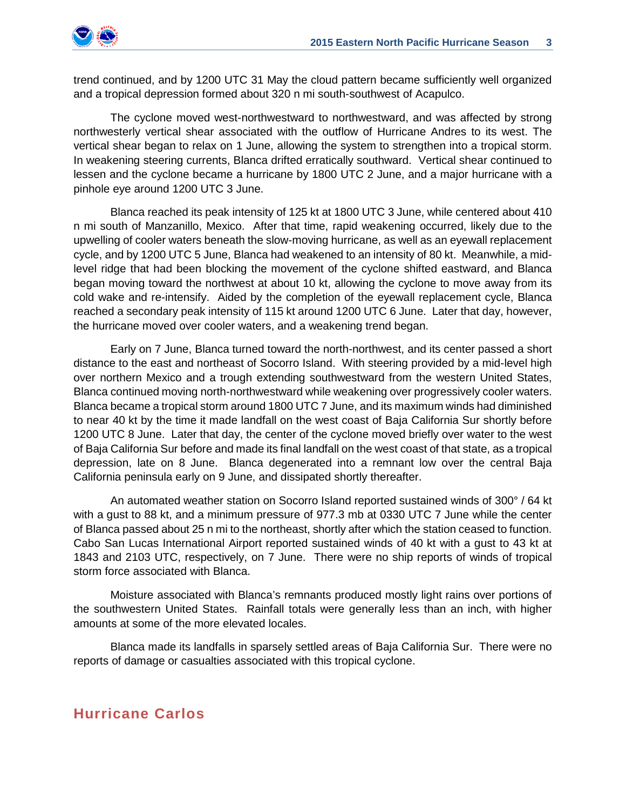

trend continued, and by 1200 UTC 31 May the cloud pattern became sufficiently well organized and a tropical depression formed about 320 n mi south-southwest of Acapulco.

The cyclone moved west-northwestward to northwestward, and was affected by strong northwesterly vertical shear associated with the outflow of Hurricane Andres to its west. The vertical shear began to relax on 1 June, allowing the system to strengthen into a tropical storm. In weakening steering currents, Blanca drifted erratically southward. Vertical shear continued to lessen and the cyclone became a hurricane by 1800 UTC 2 June, and a major hurricane with a pinhole eye around 1200 UTC 3 June.

Blanca reached its peak intensity of 125 kt at 1800 UTC 3 June, while centered about 410 n mi south of Manzanillo, Mexico. After that time, rapid weakening occurred, likely due to the upwelling of cooler waters beneath the slow-moving hurricane, as well as an eyewall replacement cycle, and by 1200 UTC 5 June, Blanca had weakened to an intensity of 80 kt. Meanwhile, a midlevel ridge that had been blocking the movement of the cyclone shifted eastward, and Blanca began moving toward the northwest at about 10 kt, allowing the cyclone to move away from its cold wake and re-intensify. Aided by the completion of the eyewall replacement cycle, Blanca reached a secondary peak intensity of 115 kt around 1200 UTC 6 June. Later that day, however, the hurricane moved over cooler waters, and a weakening trend began.

Early on 7 June, Blanca turned toward the north-northwest, and its center passed a short distance to the east and northeast of Socorro Island. With steering provided by a mid-level high over northern Mexico and a trough extending southwestward from the western United States, Blanca continued moving north-northwestward while weakening over progressively cooler waters. Blanca became a tropical storm around 1800 UTC 7 June, and its maximum winds had diminished to near 40 kt by the time it made landfall on the west coast of Baja California Sur shortly before 1200 UTC 8 June. Later that day, the center of the cyclone moved briefly over water to the west of Baja California Sur before and made its final landfall on the west coast of that state, as a tropical depression, late on 8 June. Blanca degenerated into a remnant low over the central Baja California peninsula early on 9 June, and dissipated shortly thereafter.

An automated weather station on Socorro Island reported sustained winds of 300° / 64 kt with a gust to 88 kt, and a minimum pressure of 977.3 mb at 0330 UTC 7 June while the center of Blanca passed about 25 n mi to the northeast, shortly after which the station ceased to function. Cabo San Lucas International Airport reported sustained winds of 40 kt with a gust to 43 kt at 1843 and 2103 UTC, respectively, on 7 June. There were no ship reports of winds of tropical storm force associated with Blanca.

Moisture associated with Blanca's remnants produced mostly light rains over portions of the southwestern United States. Rainfall totals were generally less than an inch, with higher amounts at some of the more elevated locales.

Blanca made its landfalls in sparsely settled areas of Baja California Sur. There were no reports of damage or casualties associated with this tropical cyclone.

#### **Hurricane Carlos**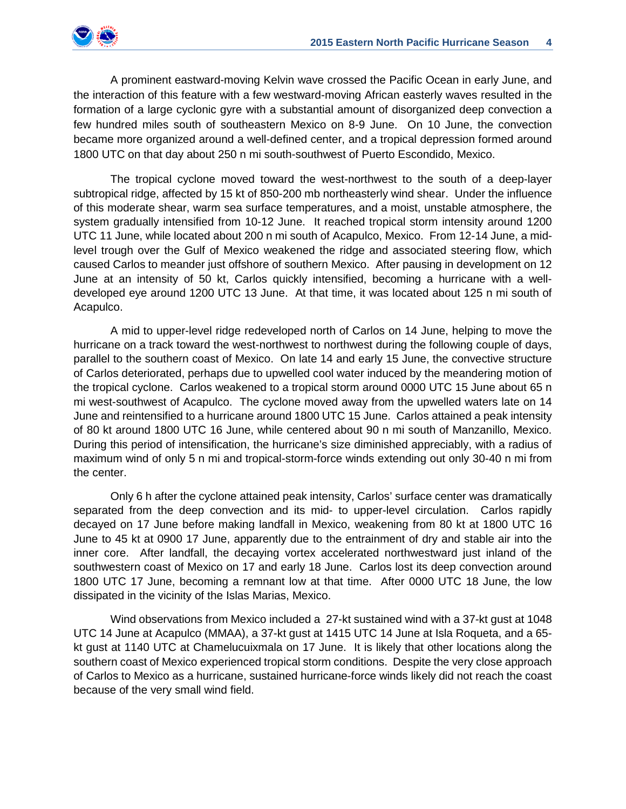

A prominent eastward-moving Kelvin wave crossed the Pacific Ocean in early June, and the interaction of this feature with a few westward-moving African easterly waves resulted in the formation of a large cyclonic gyre with a substantial amount of disorganized deep convection a few hundred miles south of southeastern Mexico on 8-9 June. On 10 June, the convection became more organized around a well-defined center, and a tropical depression formed around 1800 UTC on that day about 250 n mi south-southwest of Puerto Escondido, Mexico.

The tropical cyclone moved toward the west-northwest to the south of a deep-layer subtropical ridge, affected by 15 kt of 850-200 mb northeasterly wind shear. Under the influence of this moderate shear, warm sea surface temperatures, and a moist, unstable atmosphere, the system gradually intensified from 10-12 June. It reached tropical storm intensity around 1200 UTC 11 June, while located about 200 n mi south of Acapulco, Mexico. From 12-14 June, a midlevel trough over the Gulf of Mexico weakened the ridge and associated steering flow, which caused Carlos to meander just offshore of southern Mexico. After pausing in development on 12 June at an intensity of 50 kt, Carlos quickly intensified, becoming a hurricane with a welldeveloped eye around 1200 UTC 13 June. At that time, it was located about 125 n mi south of Acapulco.

A mid to upper-level ridge redeveloped north of Carlos on 14 June, helping to move the hurricane on a track toward the west-northwest to northwest during the following couple of days, parallel to the southern coast of Mexico. On late 14 and early 15 June, the convective structure of Carlos deteriorated, perhaps due to upwelled cool water induced by the meandering motion of the tropical cyclone. Carlos weakened to a tropical storm around 0000 UTC 15 June about 65 n mi west-southwest of Acapulco. The cyclone moved away from the upwelled waters late on 14 June and reintensified to a hurricane around 1800 UTC 15 June. Carlos attained a peak intensity of 80 kt around 1800 UTC 16 June, while centered about 90 n mi south of Manzanillo, Mexico. During this period of intensification, the hurricane's size diminished appreciably, with a radius of maximum wind of only 5 n mi and tropical-storm-force winds extending out only 30-40 n mi from the center.

Only 6 h after the cyclone attained peak intensity, Carlos' surface center was dramatically separated from the deep convection and its mid- to upper-level circulation. Carlos rapidly decayed on 17 June before making landfall in Mexico, weakening from 80 kt at 1800 UTC 16 June to 45 kt at 0900 17 June, apparently due to the entrainment of dry and stable air into the inner core. After landfall, the decaying vortex accelerated northwestward just inland of the southwestern coast of Mexico on 17 and early 18 June. Carlos lost its deep convection around 1800 UTC 17 June, becoming a remnant low at that time. After 0000 UTC 18 June, the low dissipated in the vicinity of the Islas Marias, Mexico.

Wind observations from Mexico included a 27-kt sustained wind with a 37-kt gust at 1048 UTC 14 June at Acapulco (MMAA), a 37-kt gust at 1415 UTC 14 June at Isla Roqueta, and a 65 kt gust at 1140 UTC at Chamelucuixmala on 17 June. It is likely that other locations along the southern coast of Mexico experienced tropical storm conditions. Despite the very close approach of Carlos to Mexico as a hurricane, sustained hurricane-force winds likely did not reach the coast because of the very small wind field.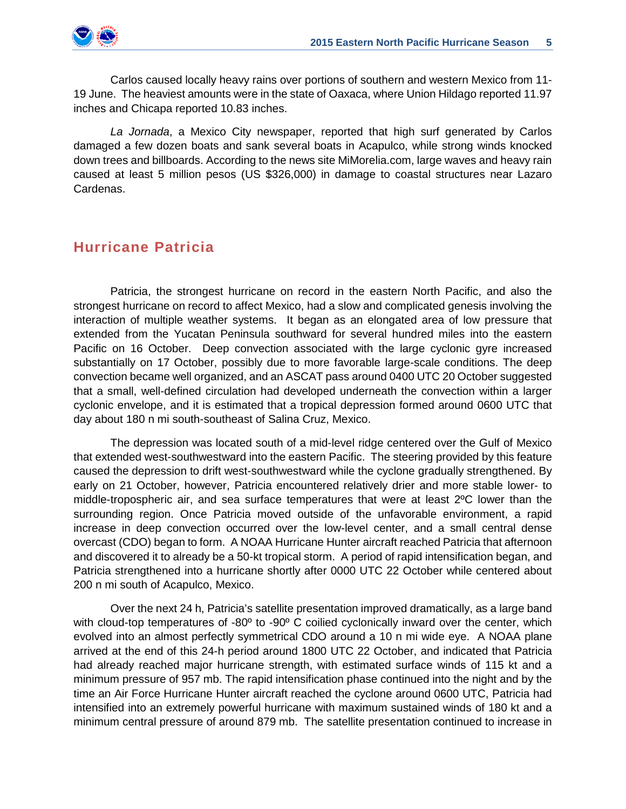Carlos caused locally heavy rains over portions of southern and western Mexico from 11- 19 June. The heaviest amounts were in the state of Oaxaca, where Union Hildago reported 11.97 inches and Chicapa reported 10.83 inches.

*La Jornada*, a Mexico City newspaper, reported that high surf generated by Carlos damaged a few dozen boats and sank several boats in Acapulco, while strong winds knocked down trees and billboards. According to the news site MiMorelia.com, large waves and heavy rain caused at least 5 million pesos (US \$326,000) in damage to coastal structures near Lazaro Cardenas.

#### **Hurricane Patricia**

 Patricia, the strongest hurricane on record in the eastern North Pacific, and also the strongest hurricane on record to affect Mexico, had a slow and complicated genesis involving the interaction of multiple weather systems. It began as an elongated area of low pressure that extended from the Yucatan Peninsula southward for several hundred miles into the eastern Pacific on 16 October. Deep convection associated with the large cyclonic gyre increased substantially on 17 October, possibly due to more favorable large-scale conditions. The deep convection became well organized, and an ASCAT pass around 0400 UTC 20 October suggested that a small, well-defined circulation had developed underneath the convection within a larger cyclonic envelope, and it is estimated that a tropical depression formed around 0600 UTC that day about 180 n mi south-southeast of Salina Cruz, Mexico.

The depression was located south of a mid-level ridge centered over the Gulf of Mexico that extended west-southwestward into the eastern Pacific. The steering provided by this feature caused the depression to drift west-southwestward while the cyclone gradually strengthened. By early on 21 October, however, Patricia encountered relatively drier and more stable lower- to middle-tropospheric air, and sea surface temperatures that were at least 2ºC lower than the surrounding region. Once Patricia moved outside of the unfavorable environment, a rapid increase in deep convection occurred over the low-level center, and a small central dense overcast (CDO) began to form. A NOAA Hurricane Hunter aircraft reached Patricia that afternoon and discovered it to already be a 50-kt tropical storm. A period of rapid intensification began, and Patricia strengthened into a hurricane shortly after 0000 UTC 22 October while centered about 200 n mi south of Acapulco, Mexico.

Over the next 24 h, Patricia's satellite presentation improved dramatically, as a large band with cloud-top temperatures of -80° to -90° C coilied cyclonically inward over the center, which evolved into an almost perfectly symmetrical CDO around a 10 n mi wide eye. A NOAA plane arrived at the end of this 24-h period around 1800 UTC 22 October, and indicated that Patricia had already reached major hurricane strength, with estimated surface winds of 115 kt and a minimum pressure of 957 mb. The rapid intensification phase continued into the night and by the time an Air Force Hurricane Hunter aircraft reached the cyclone around 0600 UTC, Patricia had intensified into an extremely powerful hurricane with maximum sustained winds of 180 kt and a minimum central pressure of around 879 mb. The satellite presentation continued to increase in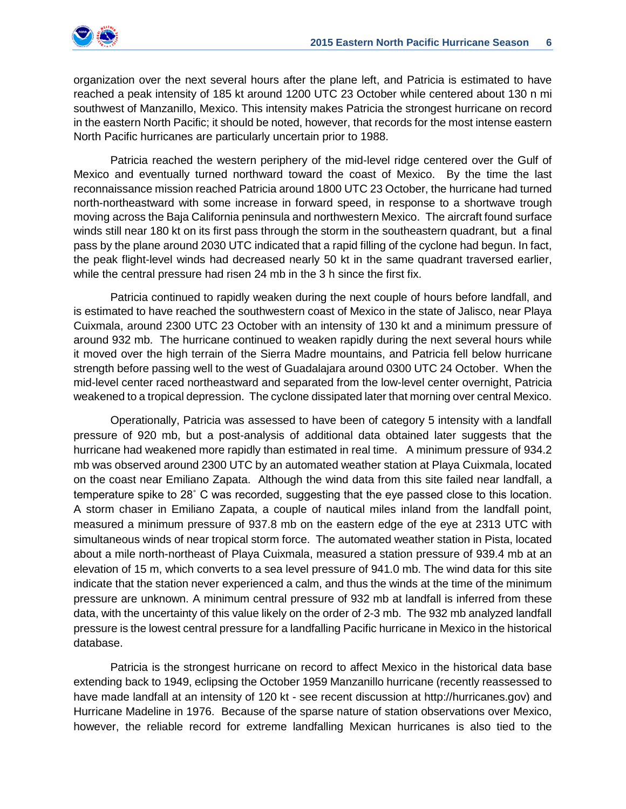

organization over the next several hours after the plane left, and Patricia is estimated to have reached a peak intensity of 185 kt around 1200 UTC 23 October while centered about 130 n mi southwest of Manzanillo, Mexico. This intensity makes Patricia the strongest hurricane on record in the eastern North Pacific; it should be noted, however, that records for the most intense eastern North Pacific hurricanes are particularly uncertain prior to 1988.

Patricia reached the western periphery of the mid-level ridge centered over the Gulf of Mexico and eventually turned northward toward the coast of Mexico. By the time the last reconnaissance mission reached Patricia around 1800 UTC 23 October, the hurricane had turned north-northeastward with some increase in forward speed, in response to a shortwave trough moving across the Baja California peninsula and northwestern Mexico. The aircraft found surface winds still near 180 kt on its first pass through the storm in the southeastern quadrant, but a final pass by the plane around 2030 UTC indicated that a rapid filling of the cyclone had begun. In fact, the peak flight-level winds had decreased nearly 50 kt in the same quadrant traversed earlier, while the central pressure had risen 24 mb in the 3 h since the first fix.

Patricia continued to rapidly weaken during the next couple of hours before landfall, and is estimated to have reached the southwestern coast of Mexico in the state of Jalisco, near Playa Cuixmala, around 2300 UTC 23 October with an intensity of 130 kt and a minimum pressure of around 932 mb. The hurricane continued to weaken rapidly during the next several hours while it moved over the high terrain of the Sierra Madre mountains, and Patricia fell below hurricane strength before passing well to the west of Guadalajara around 0300 UTC 24 October. When the mid-level center raced northeastward and separated from the low-level center overnight, Patricia weakened to a tropical depression. The cyclone dissipated later that morning over central Mexico.

Operationally, Patricia was assessed to have been of category 5 intensity with a landfall pressure of 920 mb, but a post-analysis of additional data obtained later suggests that the hurricane had weakened more rapidly than estimated in real time. A minimum pressure of 934.2 mb was observed around 2300 UTC by an automated weather station at Playa Cuixmala, located on the coast near Emiliano Zapata. Although the wind data from this site failed near landfall, a temperature spike to 28˚ C was recorded, suggesting that the eye passed close to this location. A storm chaser in Emiliano Zapata, a couple of nautical miles inland from the landfall point, measured a minimum pressure of 937.8 mb on the eastern edge of the eye at 2313 UTC with simultaneous winds of near tropical storm force. The automated weather station in Pista, located about a mile north-northeast of Playa Cuixmala, measured a station pressure of 939.4 mb at an elevation of 15 m, which converts to a sea level pressure of 941.0 mb. The wind data for this site indicate that the station never experienced a calm, and thus the winds at the time of the minimum pressure are unknown. A minimum central pressure of 932 mb at landfall is inferred from these data, with the uncertainty of this value likely on the order of 2-3 mb. The 932 mb analyzed landfall pressure is the lowest central pressure for a landfalling Pacific hurricane in Mexico in the historical database.

Patricia is the strongest hurricane on record to affect Mexico in the historical data base extending back to 1949, eclipsing the October 1959 Manzanillo hurricane (recently reassessed to have made landfall at an intensity of 120 kt - see recent discussion at http://hurricanes.gov) and Hurricane Madeline in 1976. Because of the sparse nature of station observations over Mexico, however, the reliable record for extreme landfalling Mexican hurricanes is also tied to the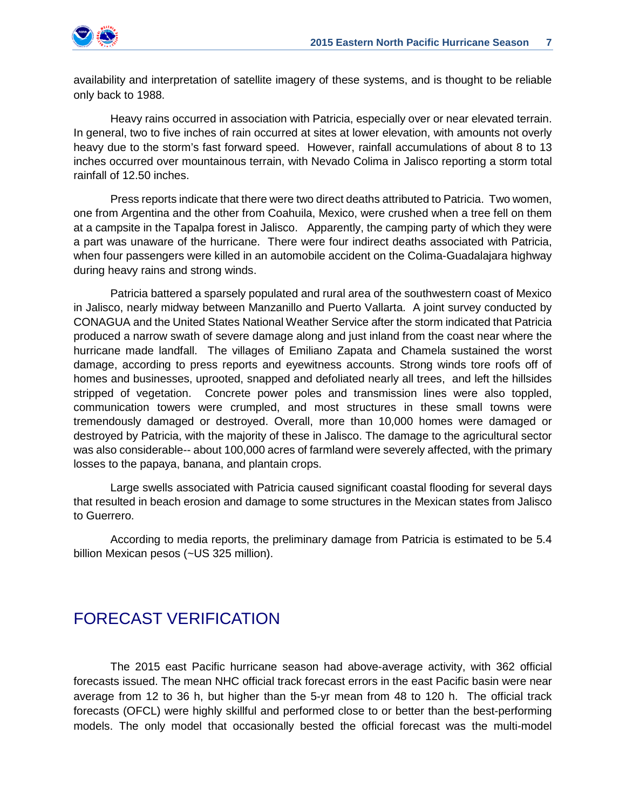

availability and interpretation of satellite imagery of these systems, and is thought to be reliable only back to 1988.

Heavy rains occurred in association with Patricia, especially over or near elevated terrain. In general, two to five inches of rain occurred at sites at lower elevation, with amounts not overly heavy due to the storm's fast forward speed. However, rainfall accumulations of about 8 to 13 inches occurred over mountainous terrain, with Nevado Colima in Jalisco reporting a storm total rainfall of 12.50 inches.

Press reports indicate that there were two direct deaths attributed to Patricia. Two women, one from Argentina and the other from Coahuila, Mexico, were crushed when a tree fell on them at a campsite in the Tapalpa forest in Jalisco. Apparently, the camping party of which they were a part was unaware of the hurricane. There were four indirect deaths associated with Patricia, when four passengers were killed in an automobile accident on the Colima-Guadalajara highway during heavy rains and strong winds.

 Patricia battered a sparsely populated and rural area of the southwestern coast of Mexico in Jalisco, nearly midway between Manzanillo and Puerto Vallarta. A joint survey conducted by CONAGUA and the United States National Weather Service after the storm indicated that Patricia produced a narrow swath of severe damage along and just inland from the coast near where the hurricane made landfall. The villages of Emiliano Zapata and Chamela sustained the worst damage, according to press reports and eyewitness accounts. Strong winds tore roofs off of homes and businesses, uprooted, snapped and defoliated nearly all trees, and left the hillsides stripped of vegetation. Concrete power poles and transmission lines were also toppled, communication towers were crumpled, and most structures in these small towns were tremendously damaged or destroyed. Overall, more than 10,000 homes were damaged or destroyed by Patricia, with the majority of these in Jalisco. The damage to the agricultural sector was also considerable-- about 100,000 acres of farmland were severely affected, with the primary losses to the papaya, banana, and plantain crops.

Large swells associated with Patricia caused significant coastal flooding for several days that resulted in beach erosion and damage to some structures in the Mexican states from Jalisco to Guerrero.

According to media reports, the preliminary damage from Patricia is estimated to be 5.4 billion Mexican pesos (~US 325 million).

### FORECAST VERIFICATION

The 2015 east Pacific hurricane season had above-average activity, with 362 official forecasts issued. The mean NHC official track forecast errors in the east Pacific basin were near average from 12 to 36 h, but higher than the 5-yr mean from 48 to 120 h. The official track forecasts (OFCL) were highly skillful and performed close to or better than the best-performing models. The only model that occasionally bested the official forecast was the multi-model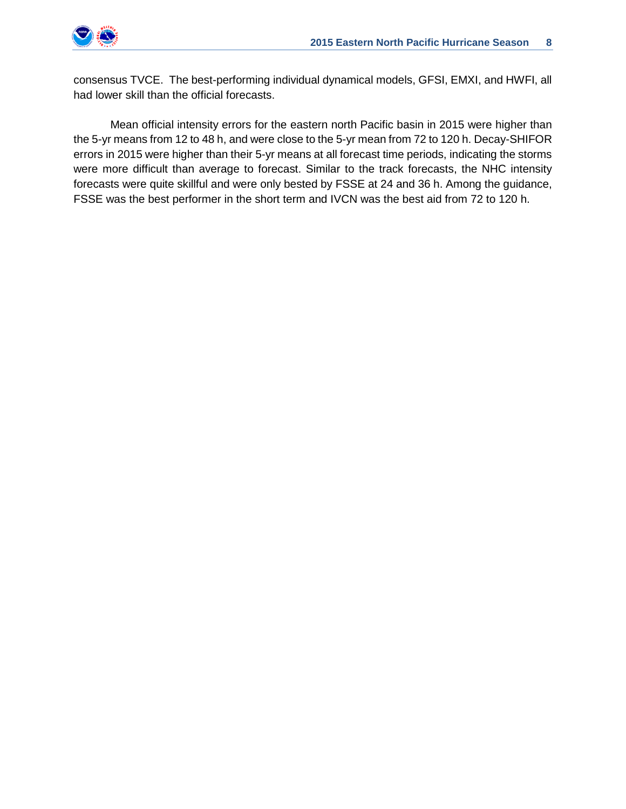

consensus TVCE. The best-performing individual dynamical models, GFSI, EMXI, and HWFI, all had lower skill than the official forecasts.

Mean official intensity errors for the eastern north Pacific basin in 2015 were higher than the 5-yr means from 12 to 48 h, and were close to the 5-yr mean from 72 to 120 h. Decay-SHIFOR errors in 2015 were higher than their 5-yr means at all forecast time periods, indicating the storms were more difficult than average to forecast. Similar to the track forecasts, the NHC intensity forecasts were quite skillful and were only bested by FSSE at 24 and 36 h. Among the guidance, FSSE was the best performer in the short term and IVCN was the best aid from 72 to 120 h.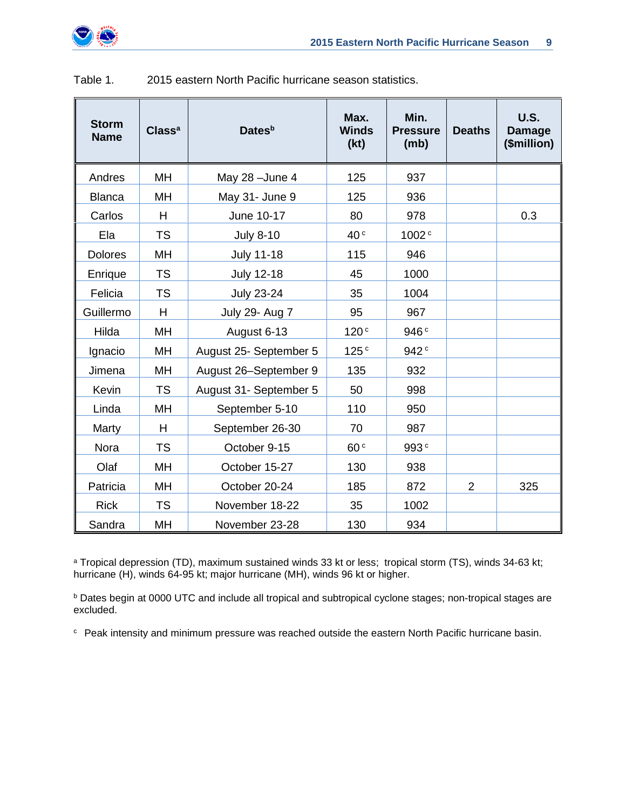

| <b>Storm</b><br><b>Name</b> | Class <sup>a</sup> | Dates <sup>b</sup>     | Max.<br><b>Winds</b><br>(kt) | Min.<br><b>Pressure</b><br>(mb) | <b>Deaths</b>  | <b>U.S.</b><br><b>Damage</b><br>(\$million) |
|-----------------------------|--------------------|------------------------|------------------------------|---------------------------------|----------------|---------------------------------------------|
| Andres                      | MH                 | May 28 - June 4        | 125                          | 937                             |                |                                             |
| <b>Blanca</b>               | MH                 | May 31- June 9         | 125                          | 936                             |                |                                             |
| Carlos                      | H                  | June 10-17             | 80                           | 978                             |                | 0.3                                         |
| Ela                         | <b>TS</b>          | <b>July 8-10</b>       | 40 <sup>c</sup>              | 1002 <sup>c</sup>               |                |                                             |
| <b>Dolores</b>              | MH                 | <b>July 11-18</b>      | 115                          | 946                             |                |                                             |
| Enrique                     | <b>TS</b>          | <b>July 12-18</b>      | 45                           | 1000                            |                |                                             |
| Felicia                     | <b>TS</b>          | <b>July 23-24</b>      | 35                           | 1004                            |                |                                             |
| Guillermo                   | H                  | July 29- Aug 7         | 95                           | 967                             |                |                                             |
| Hilda                       | MH                 | August 6-13            | 120 <sup>c</sup>             | 946 <sup>c</sup>                |                |                                             |
| Ignacio                     | MH                 | August 25- September 5 | 125 <sup>c</sup>             | 942 <sup>c</sup>                |                |                                             |
| Jimena                      | <b>MH</b>          | August 26-September 9  | 135                          | 932                             |                |                                             |
| Kevin                       | <b>TS</b>          | August 31- September 5 | 50                           | 998                             |                |                                             |
| Linda                       | MH                 | September 5-10         | 110                          | 950                             |                |                                             |
| Marty                       | H                  | September 26-30        | 70                           | 987                             |                |                                             |
| Nora                        | <b>TS</b>          | October 9-15           | 60 <sup>c</sup>              | 993c                            |                |                                             |
| Olaf                        | MH                 | October 15-27          | 130                          | 938                             |                |                                             |
| Patricia                    | MH                 | October 20-24          | 185                          | 872                             | $\overline{2}$ | 325                                         |
| <b>Rick</b>                 | <b>TS</b>          | November 18-22         | 35                           | 1002                            |                |                                             |
| Sandra                      | MH                 | November 23-28         | 130                          | 934                             |                |                                             |

| Table 1. | 2015 eastern North Pacific hurricane season statistics. |
|----------|---------------------------------------------------------|
|          |                                                         |

<sup>a</sup> Tropical depression (TD), maximum sustained winds 33 kt or less; tropical storm (TS), winds 34-63 kt; hurricane (H), winds 64-95 kt; major hurricane (MH), winds 96 kt or higher.

b Dates begin at 0000 UTC and include all tropical and subtropical cyclone stages; non-tropical stages are excluded.

c Peak intensity and minimum pressure was reached outside the eastern North Pacific hurricane basin.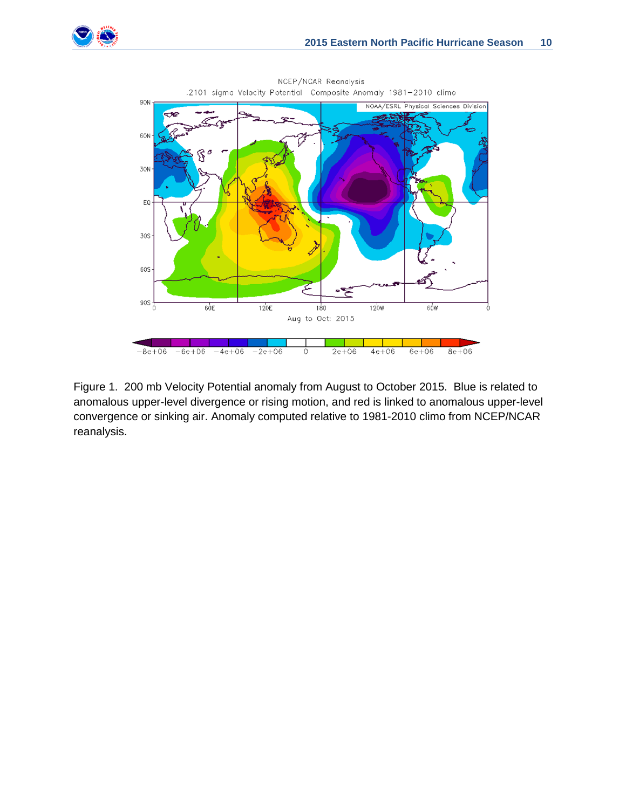



NCEP/NCAR Reanalysis .2101 sigma Velocity Potential Composite Anomaly 1981-2010 climo

Figure 1. 200 mb Velocity Potential anomaly from August to October 2015. Blue is related to anomalous upper-level divergence or rising motion, and red is linked to anomalous upper-level convergence or sinking air. Anomaly computed relative to 1981-2010 climo from NCEP/NCAR reanalysis.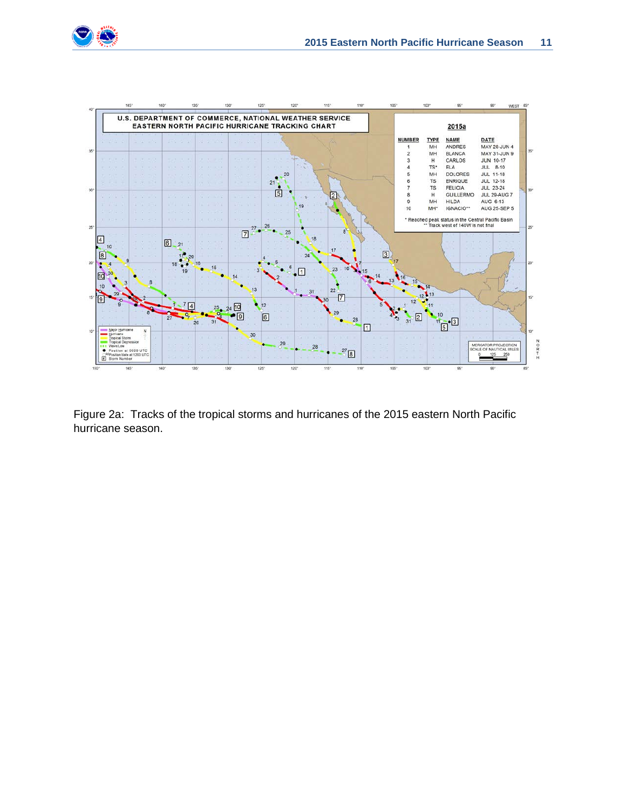



Figure 2a: Tracks of the tropical storms and hurricanes of the 2015 eastern North Pacific hurricane season.